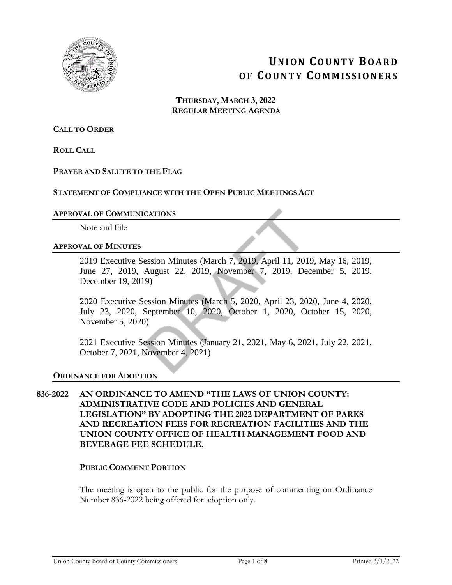

# **UN I O N CO U N T Y BO A R D O F CO U N T Y CO M M I S S I O N E R S**

**THURSDAY, MARCH 3, 2022 REGULAR MEETING AGENDA**

**CALL TO ORDER**

**ROLL CALL**

### **PRAYER AND SALUTE TO THE FLAG**

### **STATEMENT OF COMPLIANCE WITH THE OPEN PUBLIC MEETINGS ACT**

#### **APPROVAL OF COMMUNICATIONS**

Note and File

#### **APPROVAL OF MINUTES**

2019 Executive Session Minutes (March 7, 2019, April 11, 2019, May 16, 2019, June 27, 2019, August 22, 2019, November 7, 2019, December 5, 2019, December 19, 2019)

2020 Executive Session Minutes (March 5, 2020, April 23, 2020, June 4, 2020, July 23, 2020, September 10, 2020, October 1, 2020, October 15, 2020, November 5, 2020)

2021 Executive Session Minutes (January 21, 2021, May 6, 2021, July 22, 2021, October 7, 2021, November 4, 2021)

#### **ORDINANCE FOR ADOPTION**

### **836-2022 AN ORDINANCE TO AMEND "THE LAWS OF UNION COUNTY: ADMINISTRATIVE CODE AND POLICIES AND GENERAL LEGISLATION" BY ADOPTING THE 2022 DEPARTMENT OF PARKS AND RECREATION FEES FOR RECREATION FACILITIES AND THE UNION COUNTY OFFICE OF HEALTH MANAGEMENT FOOD AND BEVERAGE FEE SCHEDULE.**

### **PUBLIC COMMENT PORTION**

The meeting is open to the public for the purpose of commenting on Ordinance Number 836-2022 being offered for adoption only.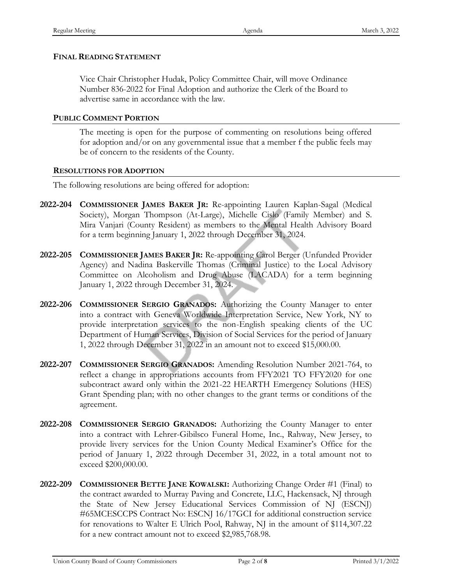### **FINAL READING STATEMENT**

Vice Chair Christopher Hudak, Policy Committee Chair, will move Ordinance Number 836-2022 for Final Adoption and authorize the Clerk of the Board to advertise same in accordance with the law.

### **PUBLIC COMMENT PORTION**

The meeting is open for the purpose of commenting on resolutions being offered for adoption and/or on any governmental issue that a member f the public feels may be of concern to the residents of the County.

### **RESOLUTIONS FOR ADOPTION**

The following resolutions are being offered for adoption:

- **2022-204 COMMISSIONER JAMES BAKER JR:** Re-appointing Lauren Kaplan-Sagal (Medical Society), Morgan Thompson (At-Large), Michelle Cislo (Family Member) and S. Mira Vanjari (County Resident) as members to the Mental Health Advisory Board for a term beginning January 1, 2022 through December 31, 2024.
- **2022-205 COMMISSIONER JAMES BAKER JR:** Re-appointing Carol Berger (Unfunded Provider Agency) and Nadina Baskerville Thomas (Criminal Justice) to the Local Advisory Committee on Alcoholism and Drug Abuse (LACADA) for a term beginning January 1, 2022 through December 31, 2024.
- **2022-206 COMMISSIONER SERGIO GRANADOS:** Authorizing the County Manager to enter into a contract with Geneva Worldwide Interpretation Service, New York, NY to provide interpretation services to the non-English speaking clients of the UC Department of Human Services, Division of Social Services for the period of January 1, 2022 through December 31, 2022 in an amount not to exceed \$15,000.00.
- **2022-207 COMMISSIONER SERGIO GRANADOS:** Amending Resolution Number 2021-764, to reflect a change in appropriations accounts from FFY2021 TO FFY2020 for one subcontract award only within the 2021-22 HEARTH Emergency Solutions (HES) Grant Spending plan; with no other changes to the grant terms or conditions of the agreement.
- **2022-208 COMMISSIONER SERGIO GRANADOS:** Authorizing the County Manager to enter into a contract with Lehrer-Gibilsco Funeral Home, Inc., Rahway, New Jersey, to provide livery services for the Union County Medical Examiner's Office for the period of January 1, 2022 through December 31, 2022, in a total amount not to exceed \$200,000.00.
- **2022-209 COMMISSIONER BETTE JANE KOWALSKI:** Authorizing Change Order #1 (Final) to the contract awarded to Murray Paving and Concrete, LLC, Hackensack, NJ through the State of New Jersey Educational Services Commission of NJ (ESCNJ) #65MCESCCPS Contract No: ESCNJ 16/17GCI for additional construction service for renovations to Walter E Ulrich Pool, Rahway, NJ in the amount of \$114,307.22 for a new contract amount not to exceed \$2,985,768.98.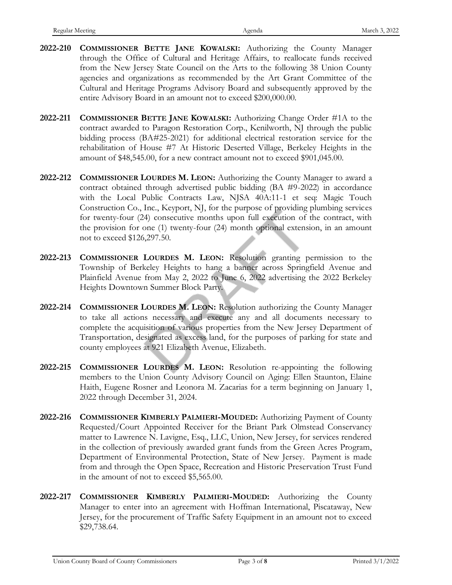- **2022-210 COMMISSIONER BETTE JANE KOWALSKI:** Authorizing the County Manager through the Office of Cultural and Heritage Affairs, to reallocate funds received from the New Jersey State Council on the Arts to the following 38 Union County agencies and organizations as recommended by the Art Grant Committee of the Cultural and Heritage Programs Advisory Board and subsequently approved by the entire Advisory Board in an amount not to exceed \$200,000.00.
- **2022-211 COMMISSIONER BETTE JANE KOWALSKI:** Authorizing Change Order #1A to the contract awarded to Paragon Restoration Corp., Kenilworth, NJ through the public bidding process (BA#25-2021) for additional electrical restoration service for the rehabilitation of House #7 At Historic Deserted Village, Berkeley Heights in the amount of \$48,545.00, for a new contract amount not to exceed \$901,045.00.
- **2022-212 COMMISSIONER LOURDES M. LEON:** Authorizing the County Manager to award a contract obtained through advertised public bidding (BA #9-2022) in accordance with the Local Public Contracts Law, NJSA 40A:11-1 et seq: Magic Touch Construction Co., Inc., Keyport, NJ, for the purpose of providing plumbing services for twenty-four (24) consecutive months upon full execution of the contract, with the provision for one (1) twenty-four (24) month optional extension, in an amount not to exceed \$126,297.50.
- **2022-213 COMMISSIONER LOURDES M. LEON:** Resolution granting permission to the Township of Berkeley Heights to hang a banner across Springfield Avenue and Plainfield Avenue from May 2, 2022 to June 6, 2022 advertising the 2022 Berkeley Heights Downtown Summer Block Party.
- **2022-214 COMMISSIONER LOURDES M. LEON:** Resolution authorizing the County Manager to take all actions necessary and execute any and all documents necessary to complete the acquisition of various properties from the New Jersey Department of Transportation, designated as excess land, for the purposes of parking for state and county employees at 921 Elizabeth Avenue, Elizabeth.
- **2022-215 COMMISSIONER LOURDES M. LEON:** Resolution re-appointing the following members to the Union County Advisory Council on Aging: Ellen Staunton, Elaine Haith, Eugene Rosner and Leonora M. Zacarias for a term beginning on January 1, 2022 through December 31, 2024.
- **2022-216 COMMISSIONER KIMBERLY PALMIERI-MOUDED:** Authorizing Payment of County Requested/Court Appointed Receiver for the Briant Park Olmstead Conservancy matter to Lawrence N. Lavigne, Esq., LLC, Union, New Jersey, for services rendered in the collection of previously awarded grant funds from the Green Acres Program, Department of Environmental Protection, State of New Jersey. Payment is made from and through the Open Space, Recreation and Historic Preservation Trust Fund in the amount of not to exceed \$5,565.00.
- **2022-217 COMMISSIONER KIMBERLY PALMIERI-MOUDED:** Authorizing the County Manager to enter into an agreement with Hoffman International, Piscataway, New Jersey, for the procurement of Traffic Safety Equipment in an amount not to exceed \$29,738.64.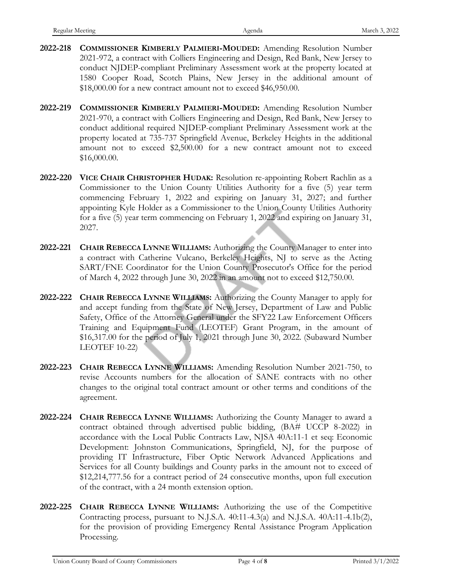- **2022-218 COMMISSIONER KIMBERLY PALMIERI-MOUDED:** Amending Resolution Number 2021-972, a contract with Colliers Engineering and Design, Red Bank, New Jersey to conduct NJDEP-compliant Preliminary Assessment work at the property located at 1580 Cooper Road, Scotch Plains, New Jersey in the additional amount of \$18,000.00 for a new contract amount not to exceed \$46,950.00.
- **2022-219 COMMISSIONER KIMBERLY PALMIERI-MOUDED:** Amending Resolution Number 2021-970, a contract with Colliers Engineering and Design, Red Bank, New Jersey to conduct additional required NJDEP-compliant Preliminary Assessment work at the property located at 735-737 Springfield Avenue, Berkeley Heights in the additional amount not to exceed \$2,500.00 for a new contract amount not to exceed \$16,000.00.
- **2022-220 VICE CHAIR CHRISTOPHER HUDAK:** Resolution re-appointing Robert Rachlin as a Commissioner to the Union County Utilities Authority for a five (5) year term commencing February 1, 2022 and expiring on January 31, 2027; and further appointing Kyle Holder as a Commissioner to the Union County Utilities Authority for a five (5) year term commencing on February 1, 2022 and expiring on January 31, 2027.
- **2022-221 CHAIR REBECCA LYNNE WILLIAMS:** Authorizing the County Manager to enter into a contract with Catherine Vulcano, Berkeley Heights, NJ to serve as the Acting SART/FNE Coordinator for the Union County Prosecutor's Office for the period of March 4, 2022 through June 30, 2022 in an amount not to exceed \$12,750.00.
- **2022-222 CHAIR REBECCA LYNNE WILLIAMS:** Authorizing the County Manager to apply for and accept funding from the State of New Jersey, Department of Law and Public Safety, Office of the Attorney General under the SFY22 Law Enforcement Officers Training and Equipment Fund (LEOTEF) Grant Program, in the amount of \$16,317.00 for the period of July 1, 2021 through June 30, 2022. (Subaward Number LEOTEF 10-22)
- **2022-223 CHAIR REBECCA LYNNE WILLIAMS:** Amending Resolution Number 2021-750, to revise Accounts numbers for the allocation of SANE contracts with no other changes to the original total contract amount or other terms and conditions of the agreement.
- **2022-224 CHAIR REBECCA LYNNE WILLIAMS:** Authorizing the County Manager to award a contract obtained through advertised public bidding, (BA# UCCP 8-2022) in accordance with the Local Public Contracts Law, NJSA 40A:11-1 et seq: Economic Development: Johnston Communications, Springfield, NJ, for the purpose of providing IT Infrastructure, Fiber Optic Network Advanced Applications and Services for all County buildings and County parks in the amount not to exceed of \$12,214,777.56 for a contract period of 24 consecutive months, upon full execution of the contract, with a 24 month extension option.
- **2022-225 CHAIR REBECCA LYNNE WILLIAMS:** Authorizing the use of the Competitive Contracting process, pursuant to N.J.S.A.  $40:11-4.3(a)$  and N.J.S.A.  $40A:11-4.1b(2)$ , for the provision of providing Emergency Rental Assistance Program Application Processing.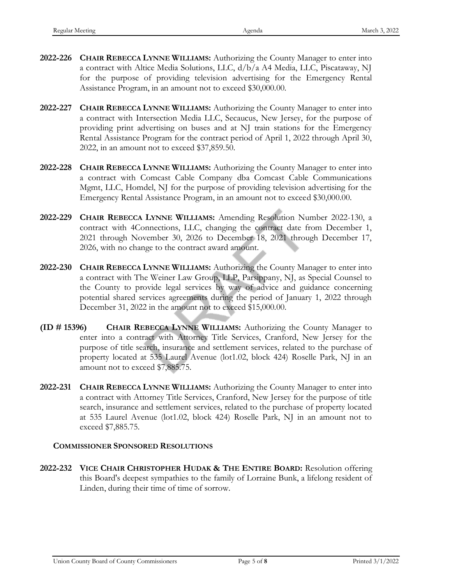- **2022-226 CHAIR REBECCA LYNNE WILLIAMS:** Authorizing the County Manager to enter into a contract with Altice Media Solutions, LLC, d/b/a A4 Media, LLC, Piscataway, NJ for the purpose of providing television advertising for the Emergency Rental Assistance Program, in an amount not to exceed \$30,000.00.
- **2022-227 CHAIR REBECCA LYNNE WILLIAMS:** Authorizing the County Manager to enter into a contract with Intersection Media LLC, Secaucus, New Jersey, for the purpose of providing print advertising on buses and at NJ train stations for the Emergency Rental Assistance Program for the contract period of April 1, 2022 through April 30, 2022, in an amount not to exceed \$37,859.50.
- **2022-228 CHAIR REBECCA LYNNE WILLIAMS:** Authorizing the County Manager to enter into a contract with Comcast Cable Company dba Comcast Cable Communications Mgmt, LLC, Homdel, NJ for the purpose of providing television advertising for the Emergency Rental Assistance Program, in an amount not to exceed \$30,000.00.
- **2022-229 CHAIR REBECCA LYNNE WILLIAMS:** Amending Resolution Number 2022-130, a contract with 4Connections, LLC, changing the contract date from December 1, 2021 through November 30, 2026 to December 18, 2021 through December 17, 2026, with no change to the contract award amount.
- **2022-230 CHAIR REBECCA LYNNE WILLIAMS:** Authorizing the County Manager to enter into a contract with The Weiner Law Group, LLP, Parsippany, NJ, as Special Counsel to the County to provide legal services by way of advice and guidance concerning potential shared services agreements during the period of January 1, 2022 through December 31, 2022 in the amount not to exceed \$15,000.00.
- **(ID # 15396) CHAIR REBECCA LYNNE WILLIAMS:** Authorizing the County Manager to enter into a contract with Attorney Title Services, Cranford, New Jersey for the purpose of title search, insurance and settlement services, related to the purchase of property located at 535 Laurel Avenue (lot1.02, block 424) Roselle Park, NJ in an amount not to exceed \$7,885.75.
- **2022-231 CHAIR REBECCA LYNNE WILLIAMS:** Authorizing the County Manager to enter into a contract with Attorney Title Services, Cranford, New Jersey for the purpose of title search, insurance and settlement services, related to the purchase of property located at 535 Laurel Avenue (lot1.02, block 424) Roselle Park, NJ in an amount not to exceed \$7,885.75.

### **COMMISSIONER SPONSORED RESOLUTIONS**

**2022-232 VICE CHAIR CHRISTOPHER HUDAK & THE ENTIRE BOARD:** Resolution offering this Board's deepest sympathies to the family of Lorraine Bunk, a lifelong resident of Linden, during their time of time of sorrow.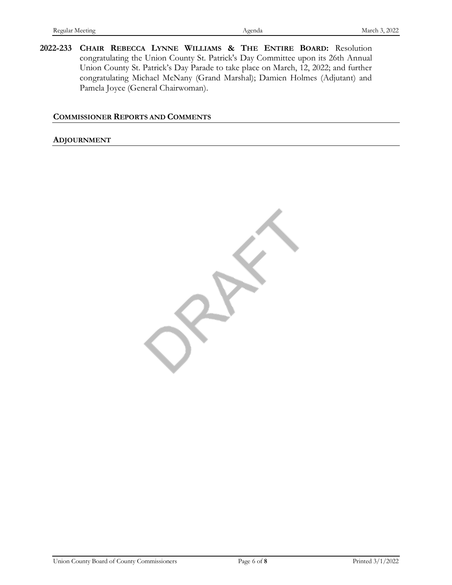**2022-233 CHAIR REBECCA LYNNE WILLIAMS & THE ENTIRE BOARD:** Resolution congratulating the Union County St. Patrick's Day Committee upon its 26th Annual Union County St. Patrick's Day Parade to take place on March, 12, 2022; and further congratulating Michael McNany (Grand Marshal); Damien Holmes (Adjutant) and Pamela Joyce (General Chairwoman).

### **COMMISSIONER REPORTS AND COMMENTS**

#### **ADJOURNMENT**

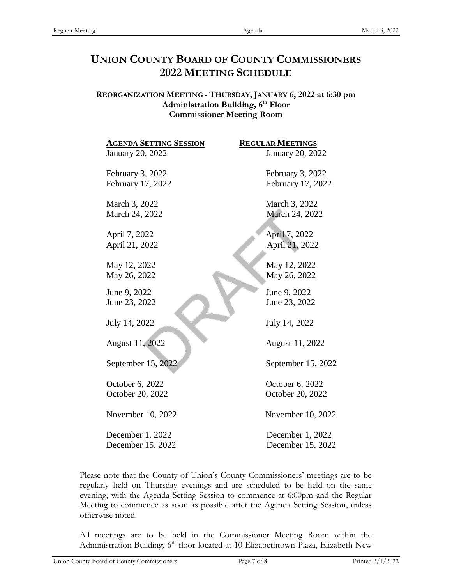## **UNION COUNTY BOARD OF COUNTY COMMISSIONERS 2022 MEETING SCHEDULE**

**REORGANIZATION MEETING - THURSDAY, JANUARY 6, 2022 at 6:30 pm Administration Building, 6th Floor Commissioner Meeting Room**

| <b>AGENDA SETTING SESSION</b> | <b>REGULAR MEETINGS</b> |
|-------------------------------|-------------------------|
| January 20, 2022              | January 20, 2022        |
| February 3, 2022              | February 3, 2022        |
| February 17, 2022             | February 17, 2022       |
| March 3, 2022                 | March 3, 2022           |
| March 24, 2022                | March 24, 2022          |
| April 7, 2022                 | April 7, 2022           |
| April 21, 2022                | April 21, 2022          |
| May 12, 2022                  | May 12, 2022            |
| May 26, 2022                  | May 26, 2022            |
| June 9, 2022                  | June 9, 2022            |
| June 23, 2022                 | June 23, 2022           |
| July 14, 2022                 | July 14, 2022           |
| August 11, 2022               | August 11, 2022         |
| September 15, 2022            | September 15, 2022      |
| October 6, 2022               | October 6, 2022         |
| October 20, 2022              | October 20, 2022        |
| November 10, 2022             | November 10, 2022       |
| December 1, 2022              | December 1, 2022        |
| December 15, 2022             | December 15, 2022       |

Please note that the County of Union's County Commissioners' meetings are to be regularly held on Thursday evenings and are scheduled to be held on the same evening, with the Agenda Setting Session to commence at 6:00pm and the Regular Meeting to commence as soon as possible after the Agenda Setting Session, unless otherwise noted.

All meetings are to be held in the Commissioner Meeting Room within the Administration Building, 6<sup>th</sup> floor located at 10 Elizabethtown Plaza, Elizabeth New